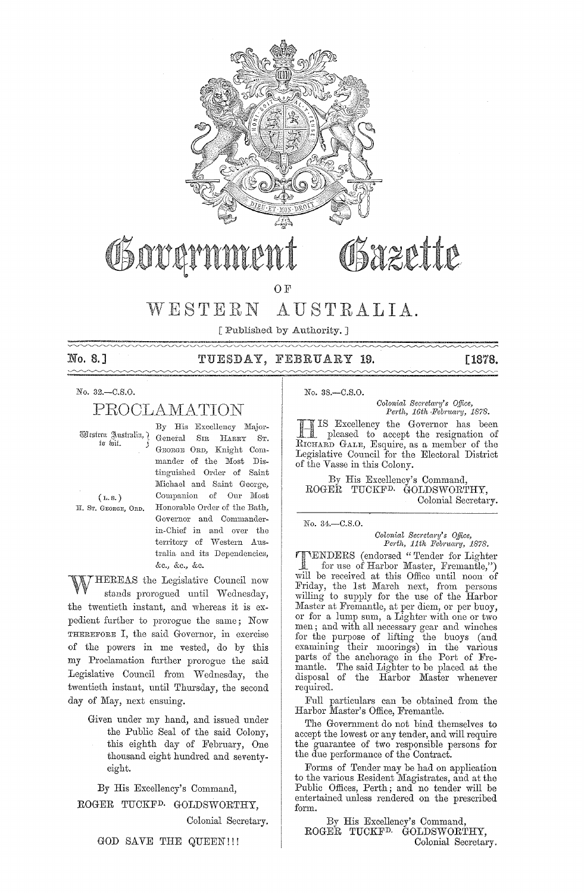

# Sazette

OF

### AUSTRALIA.  $WESTERN$

[ Published by Authority. ]

No. 8.]  $\sim\sim\sim$ 

### TUESDAY, FEBRUARY 19.

[1878.

No. 32.-C.S.O.

### PROCLAMATION

General

Western Australia, ? to kit.

 $(L, S, )$ 

H. ST. GEORGE, ORD.

GEORGE ORD, Knight Commander of the Most Distinguished Order of Saint Michael and Saint George, Companion of Our Most Honorable Order of the Bath, Governor and Commanderin-Chief in and over the territory of Western Australia and its Dependencies, &c., &c., &c.

By His Excellency Major-

SIR HARRY ST.

HEREAS the Legislative Council now stands prorogued until Wednesday, the twentieth instant, and whereas it is expedient further to prorogue the same; Now THEREFORE I, the said Governor, in exercise of the powers in me vested, do by this my Proclamation further prorogue the said Legislative Council from Wednesday, the twentieth instant, until Thursday, the second day of May, next ensuing.

> Given under my hand, and issued under the Public Seal of the said Colony, this eighth day of February, One thousand eight hundred and seventyeight.

By His Excellency's Command, ROGER TUCKF<sup>D.</sup> GOLDSWORTHY,

Colonial Secretary.

GOD SAVE THE QUEEN!!!

No. 38.-C.S.O.

Colonial Secretary's Office, Perth, 16th February, 1878.

IS Excellency the Governor has been pleased to accept the resignation of RICHARD GALE, Esquire, as a member of the Legislative Council for the Electoral District of the Vasse in this Colony.

By His Excellency's Command. ROGER TUCKF<sup>D.</sup> GOLDSWORTHY, Colonial Secretary.

No. 34 .- C.S.O.

### Colonial Secretary's Office, Perth, 11th February, 1878.

VENDERS (endorsed "Tender for Lighter for use of Harbor Master, Fremantle,") will be received at this Office until noon of Friday, the 1st March next, from persons<br>willing to supply for the use of the Harbor<br>Master at Fremantle, at per diem, or per buoy, or for a lump sum, a Lighter with one or two of for the purpose of lifting the buoys (and<br>for the purpose of lifting the buoys (and<br>examining their moorings) in the various<br>parts of the anchorage in the Port of Fremantle. The said Lighter to be placed at the disposal of the Harbor Master whenever required.

Full particulars can be obtained from the Harbor Master's Office, Fremantle.

The Government do not bind themselves to accept the lowest or any tender, and will require the guarantee of two responsible persons for<br>the due performance of the Contract.

Forms of Tender may be had on application to the various Resident Magistrates, and at the Public Offices, Perth; and no tender will be entertained unless rendered on the prescribed form.

By His Excellency's Command, ROGER TUCKF<sup>D.</sup> GOLDSWORTHY, Colonial Secretary.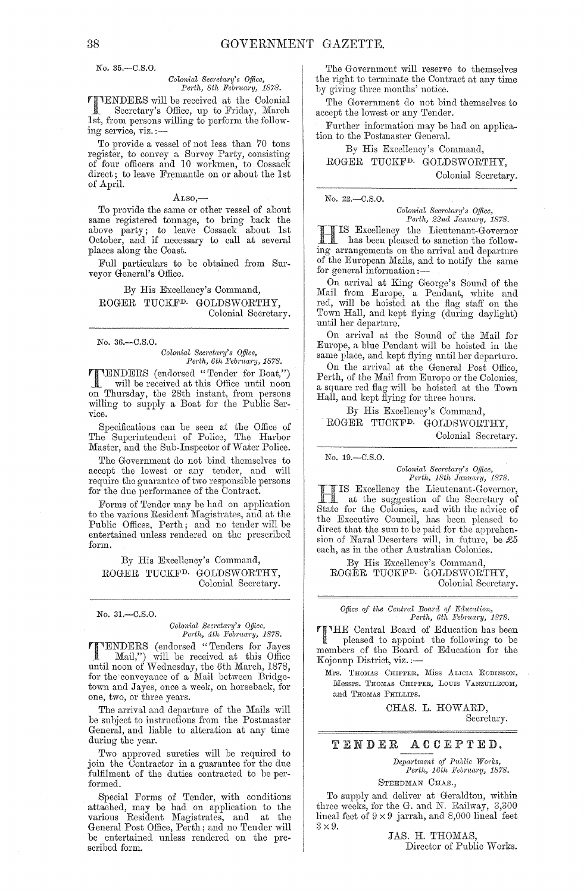No. 35.-C.S.O.

### *Colonial Sec)'eta"1i's Office,*  Perth, 8th February, 1878.

TENDERS will be received at the Colonial Secretary's Office, up to Friday, March 1st, from persons willing to perform the following service, viz. :-

To provide a vessel of not less than 70 tons register, to convey a Survey Party, consisting of four officers and 10 workmen, to Cossack direct; to leave Fremantle on or about the 1st of April.

### $\text{H}^{180,-}$

To provide the same or other vessel of about same registered tonnage, to bring back the above party; to leave Cossack about 1st October, and if necessary to call at several places along the Coast.

Full particulars to be obtained from Surveyor General's Office.

By His Excellency's Command, ROGER TUCKFD. GOLDSWORTHY, Colonial Secretary.

No. 36.-C.S.O.

*Colonial Sec)'eta,'Y's Office, Perth, Gth February, 1878.* 

TENDERS (endorsed "Tender for Boat,")<br>will be received at this Office until noon on Thursday, the 28th instant, from persons willing to supply a Boat for the Public Service.

Specifications can be seon at the Office of The Superintendent of Police, Tho Harbor Master, and the Sub-Inspector of Water Police.

The Government do not bind themselves to accept the lowest or any tender, and will require the guarantee of two responsible persons for the due performance of the Contract.

Forms of Tender may be had on application to the various Resident Magistrates, and at the Public Offices, Perth; and no tender will be entertained unless rendered on the prescribed form.

By His Excellency's Command, ROGER TUCKF<sup>D.</sup> GOLDSWORTHY, Colonial Secretary.

No. 31.-C.S.O.

### $Colonial$  Secretary's Office, *Perth, 4th Febnwry, 1878.*

TENDERS (endorsed "Tenders for Jayes Mail,") will be received at this Office until noon of Wednesday, the 6th March, 1878, for the conveyance of a Mail between Bridgetown and Jayes, once a week, on horseback, for one, two, or three years.

The arrival and departure of the Mails will be subject to instructions from the Postmaster General, and liable to alteration at any time during the year.

Two approved sureties will be required to join the Contractor in a guarantee for the due fulfilment of the duties contracted to be performed.

Special Forms of Tender, with conditions attached, may be had on application to the various Resident Magistmtes, and at the General Post Office, Perth; and no Tender will be entertained unless rendered on the prescribed form.

The Government will reserve to themselves the right to terminate the Contract at any time by giving three months' notice.

The Government do not bind themselves to accept the lowest or any Tender.

Further information may be had on application to the Postmaster General.

By His Excellency's Command,

ROGER TUCKFD. GOLDSWORTHY,

Colonial Secretary.

No. 22.-C,S.O.

*Colonial Secretary's Q/lice, Perth, 22nd Jamwry, 1878.* 

III IS Excellency the Lieutenant-Governor<br>has been pleased to sanction the followhas been pleased to sanction the following arrangements on the arrival and departure of the European Mails, and to notify the same for general information :-

On arrival at King George's Sound of the Mail from Europe, a Pendant, white and red, will be hoisted at the flag staff on the Town Hall, and kept flying (during daylight) until her departure.

On arrival at the Sound of the Mail for Europe, a blue Pendant will be hoisted in the same place, and kept flying until her departure.

On the arrival at the General Post Office, Perth, of the Mail from Europe or the Colonies, a square red flag will be hoisted at the Town Hall, and kept flying for three hours,

By His Excellency's Command,

ROGER TUCKF<sup>D.</sup> GOLDSWORTHY, Colonial Secretary.

No. 19.-C.S.O.

*Colonial Secretary's Office,* Perth, 18th January, 1878.

H IS Excellency the Lieutenant-Governor, at the suggestion of the Secretary of State for the Colonies, and with the advice of the Executive Council, has been pleased to direct that the sum to be paid for the apprehension of Naval Deserters will, in future, be  $£5$ each, as in the other Australian Colonies.

By His Excellency's Command, ROGÉR TUCKF<sup>D.</sup> GOLDSWORTHY, Colonial Secretary.

Office of the Central Board of Education, *Perth, Gth Ji'eb"1wry, 1878.* 

'HE Central Board of Education has been pleased to appoint the following to be members of the Board of Education for the Kojonup District, viz. :—

Mrs. Thomas Chipper, Miss Alicia Robinson, Messrs. Thomas Chipper, Louis Vanzuilecom, and THOMAS PHILLIPS.

> CHAS. L. HOWARD, Secretary.

### TENDER ACCEPTED.

*Department of Public Works, Perth, 16th February, 1878.* 

STEEDMAN CHAS.,

To supply and deliver at Geraldton, within three weeks, for the G. and N. Railway, 3,300 lineal feet of  $9 \times 9$  jarrah, and 8,000 lineal feet  $3 \times 9$ .

> JAS. H. THOMAS, Director of Public Works.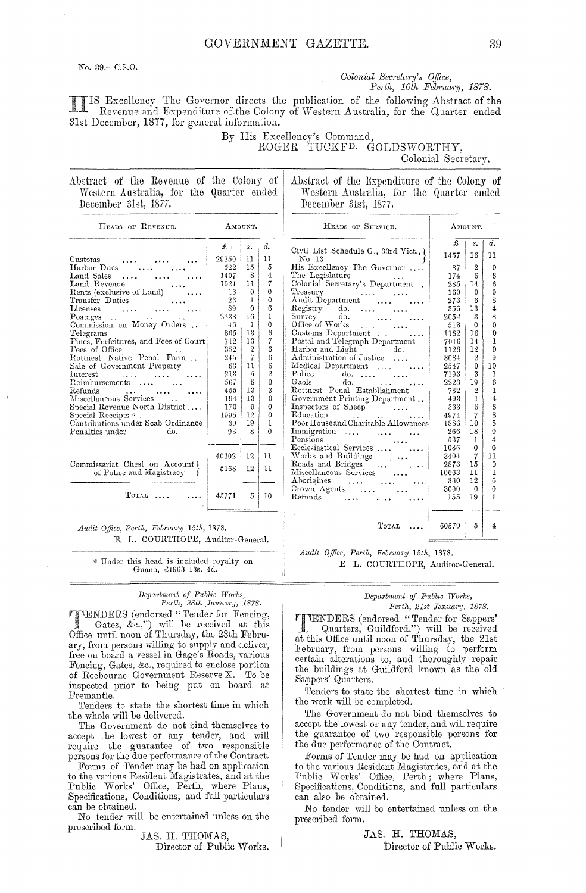No. 39. - C.S.O.

### Colonial Secretary's Office, Perth, 16th February, 1878.

IS Excellency The Governor directs the publication of the following Abstract of the Revenue and Expenditure of the Colony of Western Australia, for the Quarter ended 31st December, 1877, for general information.

> By His Excellency's Command, ROGER TUCKFD. GOLDSWORTHY,

> > No 13

Registry

Police

Colonial Secretary.

AMOUNT.  $\overline{f}$ 

1457

87  $\Omega$  $\theta$ 

 $\frac{174}{285}$ 

160

273

356  $13\,$ 4  $\frac{6}{3}$  $\overline{s}$ 

2052

518

1182  $16\,$  $\theta$ 

 $\frac{7016}{1128}$  $\frac{14}{12}$ 1  $\overline{0}$ 

3084

2547

7193

2223

782

493

333

4974

1886

266 18

537

1086

3404

2873  $15$  $\bar{0}$ 

380

3000

 $155\,$ 19  $\mathbf{1}$ 

10663

16  $11$ 

 $\overline{6}$ 

 $\pmb{0}$  $\mathbf 0$ 

 $\boldsymbol{6}$  $\dot{\mathbf{8}}$ 

 $\check{\mathbf{0}}$ 

 $\overline{2}$ 

 $\pmb{0}$  $10$ 

 $\mathcal{R}$  $\mathbf{1}$ 

 $19$  $\overline{6}$ 

 $\overline{2}$  $\mathbf{I}$ 

 $\mathbf{1}$  $\overline{4}$ 

 $\,6\,$  $\frac{8}{8}$ 

 $\overline{7}$ 

 $10$ 

 $\begin{array}{c} 11 \\ 12 \end{array}$ 

 $\begin{smallmatrix}8\\0\end{smallmatrix}$ 

 $\begin{matrix} 4 \\ 0 \end{matrix}$  $\begin{smallmatrix}1\0\1\end{smallmatrix}$ 

 $\overline{11}$ 

 $\mathbf 1$ 

 $\epsilon$ 

 $\overline{0}$  $\mathbf{0}$ 

 $\overline{4}$ 

14 6

 $\overline{d}$ .  $\overline{s}$ .

 $\mathbf{R}$ 

 $\dot{\mathbf{0}}$ 

| Abstract of the Revenue of the Colony of |  |  |  |  |  |
|------------------------------------------|--|--|--|--|--|
| Western Australia, for the Quarter ended |  |  |  |  |  |
| December 31st, 1877.                     |  |  |  |  |  |

Abstract of the Expenditure of the Colony of Western Australia, for the Quarter ended December 31st, 1877.

HEADS OF SERVICE.

Civil List Schedule G., 33rd Vict., {

His Excellency The Governor ....

Audit Department .... ....

 $\begin{matrix}\n\text{do.} & \dots & \dots \\
\text{do.} & \dots & \dots\n\end{matrix}$ 

 $\sim$   $\sim$ 

 $\sim$  100  $\sim$ 

 $\begin{array}{c} \cdots \\ \vdots \\ \cdots \end{array}$ 

 $\ldots$ 

Office of Works<br>
Customs Department<br>
Postal and Telegraph Department<br>
Harbor and Light<br>
Administration of T

Medical Department .... ...

Inspectors of Sheep<br>Education

Recresiasion Section 11

Miscellaneous Services

Crown Agents ...

Roads and Bridges

Aborigines

Refunds

do.  $\dots$ 

Government Printing Department..

Poor House and Charitable Allowances

Immigration .... ... ...

Pensions<br>
Ecclesiastical Services ....

 $\ldots$ 

| HEADS OF REVENUE.                                          | AMOUNT.      |             |                |  |  |  |
|------------------------------------------------------------|--------------|-------------|----------------|--|--|--|
|                                                            | $\mathbf{f}$ | $s_{\star}$ | d.             |  |  |  |
| Customs                                                    | 29250        | 11          | 11             |  |  |  |
| Harbor Dues                                                | 522          | 15          | 5              |  |  |  |
| Land Sales                                                 | 1407         | 8           | 4              |  |  |  |
| Land Revenue                                               | 1021         | 11          | 7              |  |  |  |
| Rents (exclusive of Land)                                  | 13           | $\theta$    | 0              |  |  |  |
| Transfer Duties                                            | 23           | ı           | 0              |  |  |  |
| Licenses                                                   | 89           | $\Omega$    | 6              |  |  |  |
| $Postages$                                                 | 2238         | 16          | $\mathbf{1}$   |  |  |  |
| Commission on Money Orders                                 | 46           | ł           | 0              |  |  |  |
| Telegrams                                                  | 865.         | 13          | 6              |  |  |  |
| Fines, Forfeitures, and Fees of Court                      | 712          | 13          | 7              |  |  |  |
| Fees of Office                                             | 382          | 2           | 6              |  |  |  |
| Rottnest Native Penal Farm                                 | 245          | 7           | 6              |  |  |  |
| Sale of Government Property                                | 63           | 11          | 6              |  |  |  |
| Interest                                                   | 213          | ñ           | $\overline{2}$ |  |  |  |
| Reimbursements<br>$\cdots$                                 | 567          | 8           | 0              |  |  |  |
| $\operatorname{Refunds}$                                   | 455          | 13          | 3              |  |  |  |
| Miscellaneous Services                                     | 194          | 13          | $\theta$       |  |  |  |
| Special Revenue North District                             | 170          | $\Omega$    | 0              |  |  |  |
| Special Receipts *                                         | 1995-        | 12          | 0              |  |  |  |
| Contributions under Scab Ordinance                         | 30           | 19          | 1              |  |  |  |
| Penalties under<br>do.                                     | 93           | 8           | 0              |  |  |  |
|                                                            | 40602        | 12          | $\mathbf{11}$  |  |  |  |
| Commissariat Chest on Account)<br>of Police and Magistracy | 5168         | 12          | 11             |  |  |  |
| TOTAL                                                      | 45771        | 5           | 10             |  |  |  |

Audit Office, Perth, February 15th, 1878. E. L. COURTHOPE, Auditor-General.

\* Under this head is included royalty on Guano, £1963 13s. 4d.

# Department of Public Works,<br>Perth, 28th January, 1878.

VENDERS (endorsed "Tender for Fencing, Gates, &c.,") will be received at this<br>Office until noon of Thursday, the 28th February, from persons willing to supply and deliver, free on board a vessel in Gage's Roads, various Fencing, Gates, &c., required to enclose portion of Roebourne Government Reserve X. To be inspected prior to being put on board at Fremantle.

Tenders to state the shortest time in which the whole will be delivered.

The Government do not bind themselves to accept the lowest or any tender, and will persons for the due performance of the Contract.

Forms of Tender may be had on application to the various Resident Magistrates, and at the Public Works' Office, Perth, where Plans, Specifications, Conditions, and full particulars can be obtained.

No tender will be entertained unless on the prescribed form.

JAS. H. THOMAS.

Director of Public Works.

 $T$ OTAL ... 60579 5 Audit Office, Perth, February 15th, 1878. E L. COURTHOPE, Auditor-General.

 $\ldots$  .  $\ldots$  .  $\ldots$ 

 $\frac{1}{2}$   $\frac{1}{2}$   $\frac{1}{2}$ 

### Department of Public Works, Perth, 21st January, 1878.

TIMENDERS (endorsed "Tender for Sappers" Quarters, Guildford,") will be received at this Office until noon of Thursday, the 21st February, from persons willing to perform<br>certain alterations to, and thoroughly repair the buildings at Guildford known as the old Sappers' Quarters.

Tenders to state the shortest time in which the work will be completed.

The Government do not bind themselves to accept the lowest or any tender, and will require the guarantee of two responsible persons for the due performance of the Contract.

Forms of Tender may be had on application to the various Resident Magistrates, and at the Public Works' Office, Perth; where Plans, Specifications, Conditions, and full particulars can also be obtained.

No tender will be entertained unless on the prescribed form.

> JAS. H. THOMAS, Director of Public Works.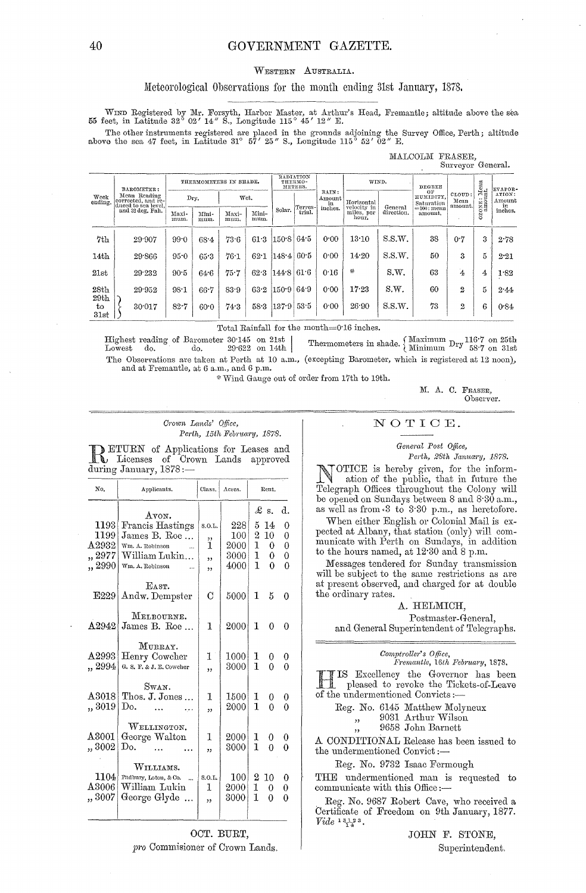### GOVERNMENT GAZETTE.

### WESTERN AUSTRALIA.

### Meteorological Observations for the month ending 31st January, 1878.

WIND Registered by Mr. Forsyth, Harbor Master, at Arthur's Head, Fremantle; altitude above the sea 55 feet, in Latitude 32° 02' 14" S., Longitude 115° 45' 12" E.

The other instruments registered are placed in the grounds adjoining the Survey Office, Perth; altitude above the sea 47 feet, in Latitude 31° 57' 25" S., Longitude 115° 52' 02" E.

| MALCOLM<br>FRASER,<br>Surveyor General. |                                                                               |                                       |               |               |                                 |                               |                           |                   |                                    |                       |                          |                |         |         |
|-----------------------------------------|-------------------------------------------------------------------------------|---------------------------------------|---------------|---------------|---------------------------------|-------------------------------|---------------------------|-------------------|------------------------------------|-----------------------|--------------------------|----------------|---------|---------|
|                                         | BAROMETER:                                                                    | THERMOMETERS IN SHADE.                |               |               | RADIATION<br>THERMO-<br>METERS. |                               |                           | WIND.             |                                    | DEGREE                |                          |                | EVAPOR- |         |
| Week<br>ending.                         | Mean Reading<br>corrected, and re-<br>duced to sea level,<br>and 32 deg. Fah. | RAIN:<br>Dry.<br>Wet.<br>Amount<br>in |               | Horizontal    |                                 | ОF<br>HUMIDITY,<br>Saturation | CLOUD:<br>Mean<br>amount. | $_{\rm{anount.}}$ | ATION:<br>Amount<br>in             |                       |                          |                |         |         |
|                                         |                                                                               | Maxi-<br>mum.                         | Mini-<br>mum. | Maxi-<br>mum. | Mini-<br>mum.                   | Solar.                        | Terres-<br>trial.         | inches.           | velocity in<br>miles, per<br>hour. | General<br>direction. | == 100 : mean<br>amount. |                | Ñ<br>O  | inches. |
| 7th                                     | 29.907                                                                        | 99.0                                  | 68.4          | 73.6          | 61.3                            | 150.8                         | 64.5                      | 0.00              | 13.10                              | S.S.W.                | 38                       | 0.7            | 3       | 2.78    |
| 14th                                    | 29.866                                                                        | 95.0                                  | 65.3          | $76 - 1$      | 62.1                            | $148 - 4$                     | 60.5                      | 0.00              | 14.20                              | S.S.W.                | 50                       | 3              | 5       | 2.21    |
| 21st                                    | 29.232                                                                        | $90-5$                                | 64.6          | 75.7          | 62.3                            | 144.8                         | 61.6                      | 0.16              | $\mathcal{U}$                      | S.W.                  | 63                       | $\mathbf{A}$   | 4       | 1.82    |
| 28 <sub>th</sub>                        | 29 952                                                                        | 98.1                                  | 66.7          | 83.9          | 63.2                            | 150.9                         | 64.9                      | 0.00              | 17.23                              | S.W.                  | 60                       | $\mathbf{2}$   | 5       | 2.44    |
| 29th<br>$t_{0}$<br>31st                 | 30.017                                                                        | 82.7                                  | 60.0          | 74.3          | 58.3                            | 137.9                         | 53.5                      | 0.00              | 26.90                              | S.S.W.                | 73                       | $\overline{2}$ | 6       | 0.84    |

Total Rainfall for the month= $0.16$  inches.

Thermometers in shade.  $\left\{\n \begin{array}{c}\n \text{Maximum} \\
 \text{Minimum}\n \end{array}\n \text{Dry}\n \begin{array}{c}\n 116.7 \\
 58.7\n \end{array}\n \text{on 25th}\n \end{array}\n \right.$ Highest reading of Barometer 30.145 on 21st |  $29622$  on 14th Lowest do. do. The Observations are taken at Perth at 10 a.m., (excepting Barometer, which is registered at 12 noon), and at Fremantle, at 6 a.m., and 6 p.m.

\* Wind Gauge out of order from 17th to 19th.

M. A. C. FRASER, Observer.

### Crown Lands' Office, Perth, 15th February, 1878.

 $\begin{tabular}{ l l l l} \hline \textbf{LETURN} of Applications for Leases and \\ \textbf{L} \text{Leenses} & of Crown Lands approved \text{during January}, 1878:-- \end{tabular}$ 

| No.                                               | Applicants.                                                                                      | Class.                                            | Acres.                             | Rent.                                                                                     |                                    |  |  |  |
|---------------------------------------------------|--------------------------------------------------------------------------------------------------|---------------------------------------------------|------------------------------------|-------------------------------------------------------------------------------------------|------------------------------------|--|--|--|
| 1193<br>1199<br>$\rm A2932$<br>,, 2977<br>,, 2990 | Avon.<br>Francis Hastings<br>James B. Roe<br>Wm. A. Robinson<br>William Lukin<br>Wm. A. Robinson | S.O.L.<br>,,<br>ï<br>$\overline{\mathbf{z}}$<br>, | 228<br>100<br>2000<br>3000<br>4000 | $\pounds$ s.<br>5.<br>14<br>$\overline{2}$<br>10<br>$\mathbf{1}$<br>0<br>1<br>0<br>1<br>0 | d.<br>0<br>0<br>0<br>0<br>$\theta$ |  |  |  |
| E229                                              | EAST.<br>Andw. Dempster                                                                          | C                                                 | 5000                               | 1<br>5                                                                                    | 0                                  |  |  |  |
| A2942                                             | MELBOURNE.<br>James B. Roe                                                                       | 1                                                 | 2000                               | 1<br>0                                                                                    | O                                  |  |  |  |
| A2993<br>., 2994                                  | MURRAY.<br>Henry Cowcher<br>G. S. F. & J. E. Cowcher                                             | 1<br>,,                                           | 1000<br>3000                       | 1<br>0<br>T<br>0                                                                          | 0<br>0                             |  |  |  |
| $\Delta 3018$<br>,, 3019                          | SWAN.<br>Thos. J. Jones<br>Do.                                                                   | 1<br>,,                                           | 1500<br>2000                       | 1<br>0<br>1<br>0                                                                          | 0<br>$\Omega$                      |  |  |  |
| $\Delta 3001$<br>, 3002                           | WELLINGTON.<br>George Walton<br>Do.<br>$\ddotsc$<br>$\ddotsc$                                    | 1<br>,,                                           | 2000<br>3000                       | 1<br>0<br>$\mathbf{I}$<br>0                                                               | 0                                  |  |  |  |
| 1104<br>$\Delta 3006$<br>, 3007                   | WILLIAMS.<br>Padbury, Loton, & Co.<br>$\mathcal{L}$<br>William Lukin<br>George Glyde             | S.O.L.<br>1<br>,                                  | 100<br>2000<br>3000                | 2<br>10<br>1<br>0<br>1<br>0                                                               | 0<br>0<br>0                        |  |  |  |

OCT. BURT, pro Commisioner of Crown Lands.

### NOTICE.

General Post Office,

Perth, 28th January, 1878.

OTICE is hereby given, for the inform-<br>ation of the public, that in future the **CONTRACTOR** Telegraph Offices throughout the Colony will be opened on Sundays between 8 and 8.30 a.m., as well as from 3 to 3.30 p.m., as heretofore.

When either English or Colonial Mail is expected at Albany, that station (only) will communicate with Perth on Sundays, in addition<br>to the hours named, at 12:30 and 8 p.m.

Messages tendered for Sunday transmission will be subject to the same restrictions as are at present observed, and charged for at double the ordinary rates.

### A. HELMICH,

Postmaster-General, and General Superintendent of Telegraphs.

| Comptroller's Office, |  |  |  |
|-----------------------|--|--|--|
|                       |  |  |  |

Fremantle, 16th February, 1878. IS Excellency the Governor has been<br>pleased to revoke the Tickets-of-Leave of the undermentioned Convicts:-

- Reg. No. 6145 Matthew Molyneux
	- 9031 Arthur Wilson  $,$ 
		- $9658\,$  John Barnett

A CONDITIONAL Release has been issued to the undermentioned Convict:-

Reg. No. 9732 Isaac Fermough

THE undermentioned man is requested to communicate with this Office:-

Reg. No. 9687 Robert Cave, who received a Certificate of Freedom on 9th January, 1877.  $Video\;1\;3\;1\;3\;3\;1\;3\;1$ 

> JOHN F. STONE, Superintendent.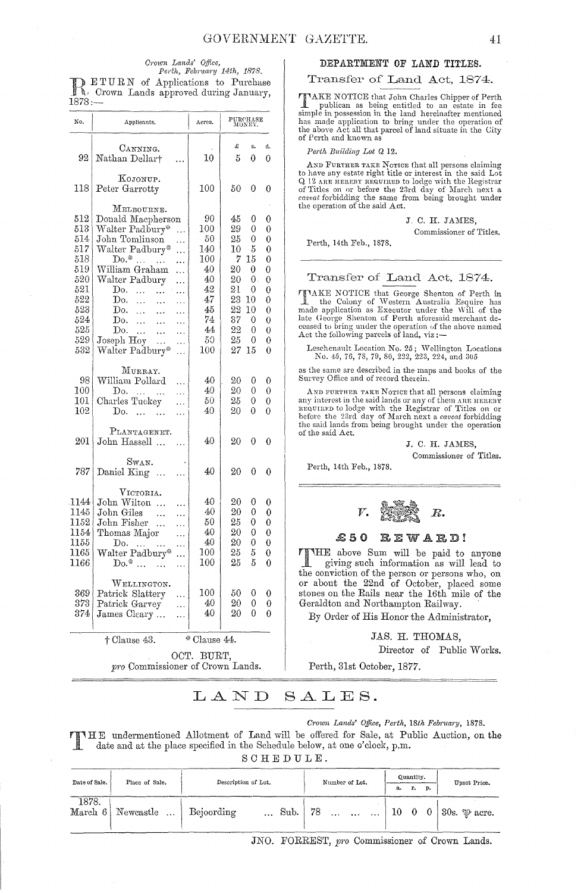## Crown Lands' Office,<br>Perth, February 14th, 1878.

DETURN of Applications to Purchase  $1878: -$ 

| No.                                                                                              | Applicants.                                                                                                                                                                                                                                                                                                                                                                                                                                    | Acres.                                                                                           | $\begin{array}{c} \textbf{PURCHASE} \\ \textbf{MONEY.} \end{array}$             |                                                                         |                                                                    |
|--------------------------------------------------------------------------------------------------|------------------------------------------------------------------------------------------------------------------------------------------------------------------------------------------------------------------------------------------------------------------------------------------------------------------------------------------------------------------------------------------------------------------------------------------------|--------------------------------------------------------------------------------------------------|---------------------------------------------------------------------------------|-------------------------------------------------------------------------|--------------------------------------------------------------------|
| 92                                                                                               | CANNING.<br>Nathan Dellar†                                                                                                                                                                                                                                                                                                                                                                                                                     | 10                                                                                               | £<br>5                                                                          | s.<br>0                                                                 | d.<br>0                                                            |
| 118                                                                                              | KOJONUP.<br>Peter Garrotty                                                                                                                                                                                                                                                                                                                                                                                                                     | $100\,$                                                                                          | 50                                                                              | 0                                                                       | 0                                                                  |
| 512<br>513<br>514<br>517<br>518<br>519<br>520<br>521<br>522<br>523<br>524<br>525<br>529  <br>532 | MELBOURNE.<br>Donald Macpherson<br>Walter Padbury*<br>$\ddotsc$<br>John Tomlinson<br>.<br>Walter Padbury*<br>.<br>$\mathrm{Do}$<br>$\sim$<br><br>William Graham<br>.<br>Walter Padbury<br>.<br>Do.<br>$\ddotsc$<br>$\ddotsc$<br>.<br>Do.<br>$\bar{\mathcal{L}}$ .<br>$\ddotsc$<br>.<br>Do.<br>$\ddotsc$<br>$\ddotsc$<br>.<br>Do.<br>$\ddotsc$<br>$\ldots$<br>.<br>Do.<br>$\sim$ .<br>$\ddotsc$<br>.<br>Joseph Hoy<br>.<br>Walter Padbury*<br>. | 90<br>$100\,$<br>50<br>140<br>$100\,$<br>40<br>40<br>42<br>47<br>45<br>74<br>44<br>50<br>$100\,$ | 45<br>29<br>25<br>10<br>7<br>20<br>20<br>21<br>23<br>22<br>37<br>22<br>25<br>27 | 0<br>0<br>0<br>5<br>15<br>0<br>0.<br>0<br>10<br>10<br>0<br>0<br>0<br>15 | 0<br>0<br>0<br>0<br>0<br>0<br>0<br>0<br>0<br>0<br>0<br>0<br>0<br>0 |
| 98<br>100<br>101<br>$_{102}$                                                                     | MURRAY.<br>William Pollard<br>.<br>$\mathbf{D}$ o.<br>.<br>Charles Tuckey<br>$\ddotsc$<br>Do.<br><br>.<br>.                                                                                                                                                                                                                                                                                                                                    | 40<br>40<br>50<br>40                                                                             | 20<br>20<br>25<br>20                                                            | 0<br>0<br>0<br>0                                                        | 0<br>0<br>0<br>0                                                   |
| 201                                                                                              | PLANTAGENET.<br>John Hassell<br>.                                                                                                                                                                                                                                                                                                                                                                                                              | 40                                                                                               | 20                                                                              | 0                                                                       | 0                                                                  |
| 787                                                                                              | Swan.<br>Daniel King<br>.                                                                                                                                                                                                                                                                                                                                                                                                                      | 40                                                                                               | 20                                                                              | 0                                                                       | 0                                                                  |
| 1144<br>1145<br>1152<br>1154<br>1155<br>1165<br>$1166\,$<br>369<br>373<br>374                    | VICTORIA.<br>John Wilton<br>.<br>John Giles<br>$\ddotsc$<br>.<br>John Fisher<br>$\ddotsc$<br>.<br>Thomas Major<br>.<br>Do. $\dots$ $\dots$<br>.<br>Walter Padbury*<br>.,<br>$Do.*$<br>$\dddotsc$<br>$\ddotsc$<br>WELLINGTON.<br>Patrick Slattery<br>.<br>Patrick Garvey<br>.<br>James Cleary<br>.                                                                                                                                              | 40<br>40<br>50<br>40<br>40<br>$100\,$<br>$100\,$<br>100<br>40<br>40                              | 20<br>20<br>25<br>20<br>20<br>25<br>25<br>50<br>20<br>$_{20}$                   | 0<br>0<br>0<br>0<br>0<br>5<br>5<br>0<br>0<br>0                          | 0<br>0<br>0<br>0<br>0<br>0<br>0<br>0<br>0<br>0                     |
|                                                                                                  | + Clause 43.                                                                                                                                                                                                                                                                                                                                                                                                                                   | * Clause 44.                                                                                     |                                                                                 |                                                                         |                                                                    |
|                                                                                                  | me Commissioner of Crow                                                                                                                                                                                                                                                                                                                                                                                                                        | OCT. BURT,                                                                                       | $T_{\rm end}$                                                                   |                                                                         |                                                                    |

pro Commissioner of Crown Lands.

### DEPARTMENT OF LAND TITLES.

### Transfer of Land Act, 1874.

**TIAKE** NOTICE that John Charles Chipper of Perth<br>publican as being entitled to an estate in fee<br>simple in possession in the land hereinafter mentioned has made application to bring under the operation of the above Act all that parcel of land situate in the City of Perth and known as

Perth Building Lot Q 12.

AND FURTHER TAKE NOTICE that all persons claiming to have any estate right title or interest in the said Lot Q 12 ARE HEREBY REQUIRED to lodge with the Registrar of Titles on or before the 23rd day of March next a caveat forbidding the same from being brought under the operation of the said Act.

J. C. H. JAMES,

Commissioner of Titles.

Perth, 14th Feb., 1878.

Transfer of Land Act, 1874.

TIAKE NOTICE that George Shenton of Perth in the Colony of Western Australia Esquire has made application as Executor under the Will of the late George Shenton of Perth aforesaid merchant de-<br>ceased to bring under the operation of the above named Act the following parcels of land, viz:-

Leschenault Location No. 25; Wellington Locations No. 45, 76, 78, 79, 80, 222, 223, 224, and  $305$ 

as the same are described in the maps and books of the Survey Office and of record therein.

AND FURTHER TAKE NOTICE that all persons claiming any interest in the said lands or any of them ARE HEREBY before the 23rd day of March next a caveat forbidding the said lands from being brought under the operation of the said Act.

J. C. H. JAMES.

Commissioner of Titles.

Perth, 14th Feb., 1878.



#### $$50$ REWARD!

THE above Sum will be paid to anyone giving such information as will lead to the conviction of the person or persons who, on or about the 22nd of October, placed some stones on the Rails near the 16th mile of the Geraldton and Northampton Railway.

By Order of His Honor the Administrator,

JAS. H. THOMAS,

Director of Public Works.

Perth, 31st October, 1877.

#### LAND SALES.

### Crown Lands' Office, Perth, 18th February, 1878.

THE undermentioned Allotment of Land will be offered for Sale, at Public Auction, on the date and at the place specified in the Schedule below, at one o'clock, p.m. SCHEDULE.

| Date of Sale. | Place of Sale.                | Description of Lot. |             |  | Number of Lot. |  |  |                                            | Quantity. |    | Upset Price.              |  |
|---------------|-------------------------------|---------------------|-------------|--|----------------|--|--|--------------------------------------------|-----------|----|---------------------------|--|
|               |                               |                     |             |  |                |  |  |                                            | r.        | p. |                           |  |
| 1878.         | March 6 Newcastle  Bejoording |                     | Sub.   $78$ |  |                |  |  | $\begin{pmatrix} 10 & 0 & 0 \end{pmatrix}$ |           |    | 30s. $\mathfrak{P}$ acre. |  |

JNO. FORREST, pro Commissioner of Crown Lands.